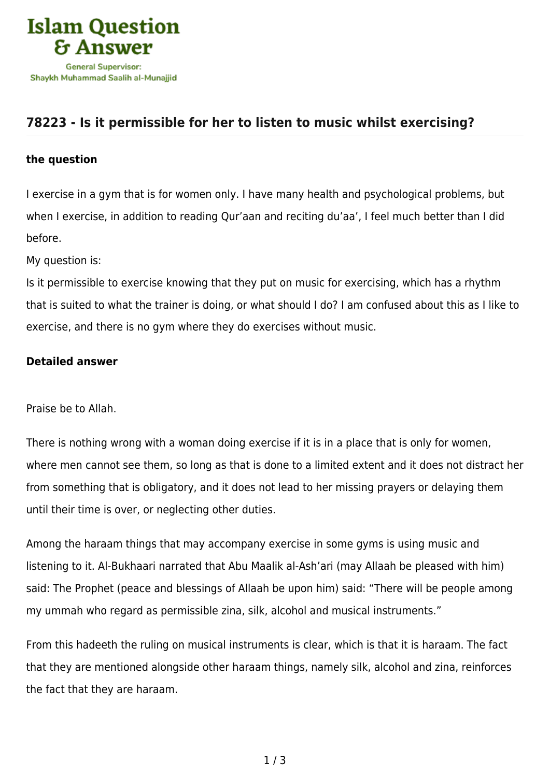

## **[78223 - Is it permissible for her to listen to music whilst exercising?](https://islamqa.com/en/answers/78223/is-it-permissible-for-her-to-listen-to-music-whilst-exercising)**

## **the question**

I exercise in a gym that is for women only. I have many health and psychological problems, but when I exercise, in addition to reading Qur'aan and reciting du'aa', I feel much better than I did before.

My question is:

Is it permissible to exercise knowing that they put on music for exercising, which has a rhythm that is suited to what the trainer is doing, or what should I do? I am confused about this as I like to exercise, and there is no gym where they do exercises without music.

## **Detailed answer**

Praise be to Allah.

There is nothing wrong with a woman doing exercise if it is in a place that is only for women, where men cannot see them, so long as that is done to a limited extent and it does not distract her from something that is obligatory, and it does not lead to her missing prayers or delaying them until their time is over, or neglecting other duties.

Among the haraam things that may accompany exercise in some gyms is using music and listening to it. Al-Bukhaari narrated that Abu Maalik al-Ash'ari (may Allaah be pleased with him) said: The Prophet (peace and blessings of Allaah be upon him) said: "There will be people among my ummah who regard as permissible zina, silk, alcohol and musical instruments."

From this hadeeth the ruling on musical instruments is clear, which is that it is haraam. The fact that they are mentioned alongside other haraam things, namely silk, alcohol and zina, reinforces the fact that they are haraam.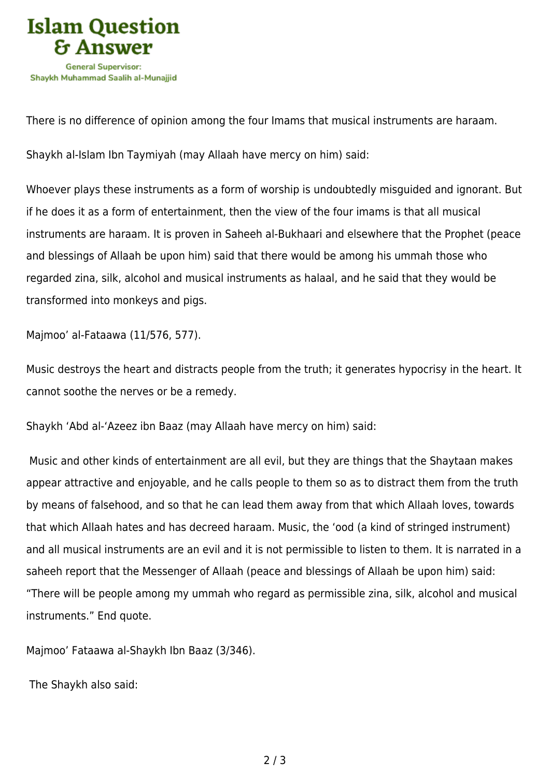

There is no difference of opinion among the four Imams that musical instruments are haraam.

Shaykh al-Islam Ibn Taymiyah (may Allaah have mercy on him) said:

Whoever plays these instruments as a form of worship is undoubtedly misguided and ignorant. But if he does it as a form of entertainment, then the view of the four imams is that all musical instruments are haraam. It is proven in Saheeh al-Bukhaari and elsewhere that the Prophet (peace and blessings of Allaah be upon him) said that there would be among his ummah those who regarded zina, silk, alcohol and musical instruments as halaal, and he said that they would be transformed into monkeys and pigs.

Majmoo' al-Fataawa (11/576, 577).

Music destroys the heart and distracts people from the truth; it generates hypocrisy in the heart. It cannot soothe the nerves or be a remedy.

Shaykh 'Abd al-'Azeez ibn Baaz (may Allaah have mercy on him) said:

 Music and other kinds of entertainment are all evil, but they are things that the Shaytaan makes appear attractive and enjoyable, and he calls people to them so as to distract them from the truth by means of falsehood, and so that he can lead them away from that which Allaah loves, towards that which Allaah hates and has decreed haraam. Music, the 'ood (a kind of stringed instrument) and all musical instruments are an evil and it is not permissible to listen to them. It is narrated in a saheeh report that the Messenger of Allaah (peace and blessings of Allaah be upon him) said: "There will be people among my ummah who regard as permissible zina, silk, alcohol and musical instruments." End quote.

Majmoo' Fataawa al-Shaykh Ibn Baaz (3/346).

The Shaykh also said: